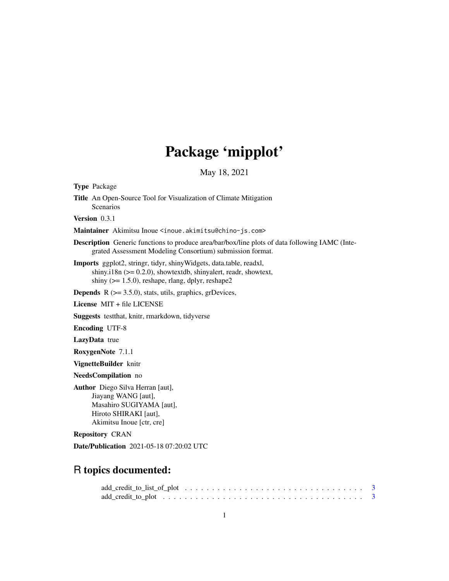# Package 'mipplot'

May 18, 2021

| <b>Type Package</b>                                                                                                                                                                               |
|---------------------------------------------------------------------------------------------------------------------------------------------------------------------------------------------------|
| <b>Title</b> An Open-Source Tool for Visualization of Climate Mitigation<br><b>Scenarios</b>                                                                                                      |
| <b>Version</b> $0.3.1$                                                                                                                                                                            |
| Maintainer Akimitsu Inoue <inoue.akimitsu@chino-js.com></inoue.akimitsu@chino-js.com>                                                                                                             |
| <b>Description</b> Generic functions to produce area/bar/box/line plots of data following IAMC (Inte-<br>grated Assessment Modeling Consortium) submission format.                                |
| Imports ggplot2, stringr, tidyr, shinyWidgets, data.table, readxl,<br>shiny.i18n $(>= 0.2.0)$ , showtextdb, shinyalert, readr, showtext,<br>shiny ( $>= 1.5.0$ ), reshape, rlang, dplyr, reshape2 |
| <b>Depends</b> $R$ ( $>= 3.5.0$ ), stats, utils, graphics, grDevices,                                                                                                                             |
| License MIT + file LICENSE                                                                                                                                                                        |
| Suggests testthat, knitr, rmarkdown, tidyverse                                                                                                                                                    |
| <b>Encoding UTF-8</b>                                                                                                                                                                             |
| LazyData true                                                                                                                                                                                     |
| RoxygenNote 7.1.1                                                                                                                                                                                 |
| VignetteBuilder knitr                                                                                                                                                                             |
| NeedsCompilation no                                                                                                                                                                               |
| Author Diego Silva Herran [aut],<br>Jiayang WANG [aut],<br>Masahiro SUGIYAMA [aut],<br>Hiroto SHIRAKI [aut],<br>Akimitsu Inoue [ctr, cre]                                                         |
| <b>Repository CRAN</b>                                                                                                                                                                            |
| <b>Date/Publication</b> 2021-05-18 07:20:02 UTC                                                                                                                                                   |
| R topics documented:                                                                                                                                                                              |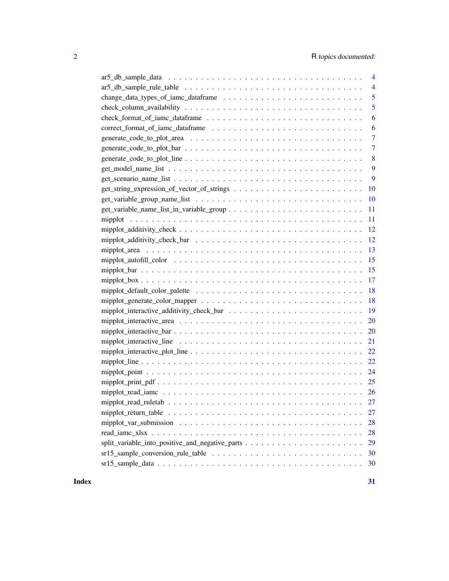| $\overline{4}$                                                                                                               |
|------------------------------------------------------------------------------------------------------------------------------|
| $\overline{4}$                                                                                                               |
| 5                                                                                                                            |
| 5                                                                                                                            |
| 6                                                                                                                            |
| 6                                                                                                                            |
| $\overline{7}$                                                                                                               |
| 7                                                                                                                            |
| 8                                                                                                                            |
| 9                                                                                                                            |
| 9                                                                                                                            |
| 10                                                                                                                           |
| 10                                                                                                                           |
| 11                                                                                                                           |
| 11                                                                                                                           |
| 12                                                                                                                           |
| 12                                                                                                                           |
| 13                                                                                                                           |
| 15                                                                                                                           |
| 15                                                                                                                           |
| 17                                                                                                                           |
| 18                                                                                                                           |
| 18                                                                                                                           |
| 19                                                                                                                           |
| 20                                                                                                                           |
| 20                                                                                                                           |
|                                                                                                                              |
| 22                                                                                                                           |
| 22                                                                                                                           |
|                                                                                                                              |
|                                                                                                                              |
|                                                                                                                              |
|                                                                                                                              |
| mipplot_return_table $\dots \dots \dots \dots \dots \dots \dots \dots \dots \dots \dots \dots \dots \dots \dots \dots$<br>27 |
| 28                                                                                                                           |
| 28                                                                                                                           |
| 29                                                                                                                           |
| 30                                                                                                                           |
| 30                                                                                                                           |
|                                                                                                                              |

#### **Index** [31](#page-30-0)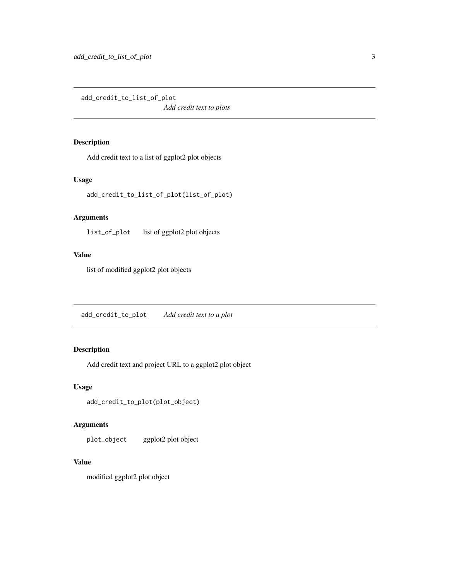<span id="page-2-0"></span>add\_credit\_to\_list\_of\_plot *Add credit text to plots*

# Description

Add credit text to a list of ggplot2 plot objects

#### Usage

add\_credit\_to\_list\_of\_plot(list\_of\_plot)

# Arguments

list\_of\_plot list of ggplot2 plot objects

# Value

list of modified ggplot2 plot objects

add\_credit\_to\_plot *Add credit text to a plot*

# Description

Add credit text and project URL to a ggplot2 plot object

# Usage

add\_credit\_to\_plot(plot\_object)

# Arguments

plot\_object ggplot2 plot object

#### Value

modified ggplot2 plot object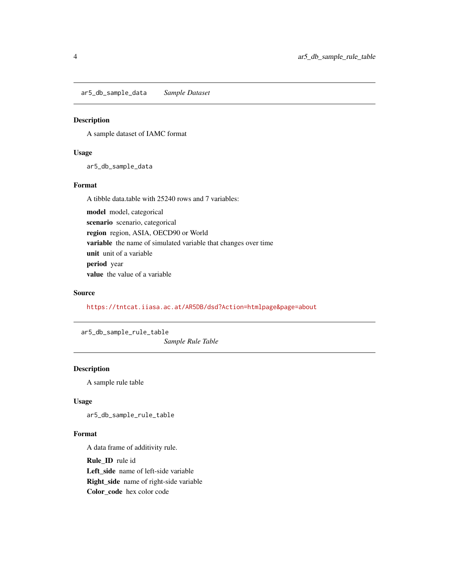<span id="page-3-0"></span>ar5\_db\_sample\_data *Sample Dataset*

# Description

A sample dataset of IAMC format

# Usage

ar5\_db\_sample\_data

# Format

A tibble data.table with 25240 rows and 7 variables:

model model, categorical scenario scenario, categorical region region, ASIA, OECD90 or World variable the name of simulated variable that changes over time unit unit of a variable period year value the value of a variable

### Source

<https://tntcat.iiasa.ac.at/AR5DB/dsd?Action=htmlpage&page=about>

ar5\_db\_sample\_rule\_table

*Sample Rule Table*

# Description

A sample rule table

# Usage

ar5\_db\_sample\_rule\_table

#### Format

A data frame of additivity rule.

Rule\_ID rule id Left\_side name of left-side variable Right\_side name of right-side variable Color\_code hex color code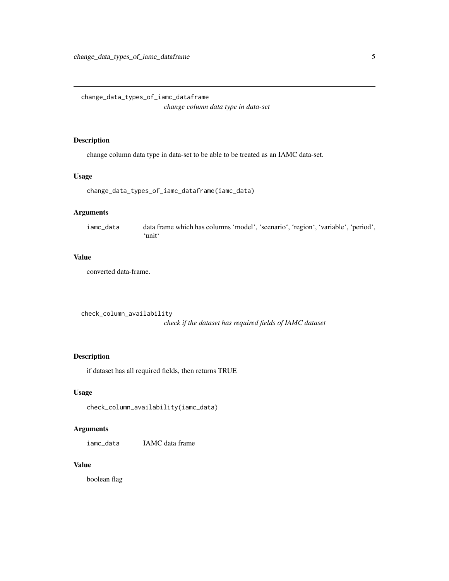<span id="page-4-0"></span>change\_data\_types\_of\_iamc\_dataframe *change column data type in data-set*

# Description

change column data type in data-set to be able to be treated as an IAMC data-set.

#### Usage

```
change_data_types_of_iamc_dataframe(iamc_data)
```
#### Arguments

iamc\_data data frame which has columns 'model', 'scenario', 'region', 'variable', 'period', 'unit'

#### Value

converted data-frame.

check\_column\_availability *check if the dataset has required fields of IAMC dataset*

### Description

if dataset has all required fields, then returns TRUE

### Usage

```
check_column_availability(iamc_data)
```
# Arguments

iamc\_data IAMC data frame

#### Value

boolean flag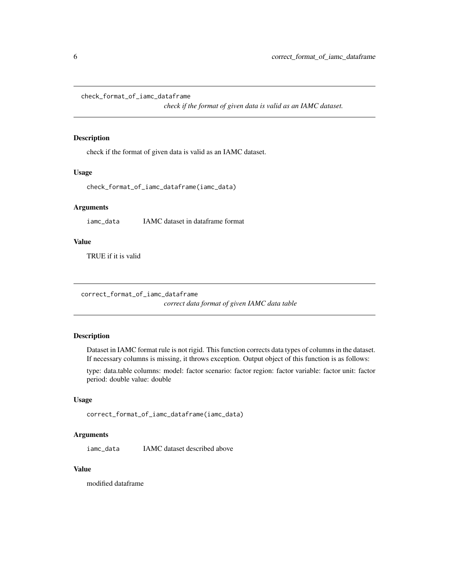<span id="page-5-0"></span>check\_format\_of\_iamc\_dataframe

*check if the format of given data is valid as an IAMC dataset.*

# Description

check if the format of given data is valid as an IAMC dataset.

#### Usage

```
check_format_of_iamc_dataframe(iamc_data)
```
#### Arguments

iamc\_data IAMC dataset in dataframe format

# Value

TRUE if it is valid

correct\_format\_of\_iamc\_dataframe

*correct data format of given IAMC data table*

#### Description

Dataset in IAMC format rule is not rigid. This function corrects data types of columns in the dataset. If necessary columns is missing, it throws exception. Output object of this function is as follows:

type: data.table columns: model: factor scenario: factor region: factor variable: factor unit: factor period: double value: double

#### Usage

```
correct_format_of_iamc_dataframe(iamc_data)
```
#### Arguments

iamc\_data IAMC dataset described above

# Value

modified dataframe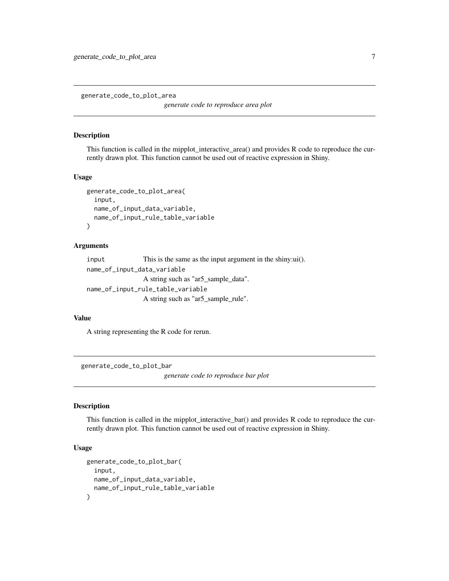<span id="page-6-0"></span>generate\_code\_to\_plot\_area

*generate code to reproduce area plot*

#### Description

This function is called in the mipplot\_interactive\_area() and provides R code to reproduce the currently drawn plot. This function cannot be used out of reactive expression in Shiny.

#### Usage

```
generate_code_to_plot_area(
  input,
  name_of_input_data_variable,
  name_of_input_rule_table_variable
)
```
#### Arguments

input This is the same as the input argument in the shiny:ui(). name\_of\_input\_data\_variable A string such as "ar5\_sample\_data". name\_of\_input\_rule\_table\_variable A string such as "ar5\_sample\_rule".

# Value

A string representing the R code for rerun.

generate\_code\_to\_plot\_bar

*generate code to reproduce bar plot*

#### Description

This function is called in the mipplot\_interactive\_bar() and provides R code to reproduce the currently drawn plot. This function cannot be used out of reactive expression in Shiny.

#### Usage

```
generate_code_to_plot_bar(
  input,
  name_of_input_data_variable,
  name_of_input_rule_table_variable
)
```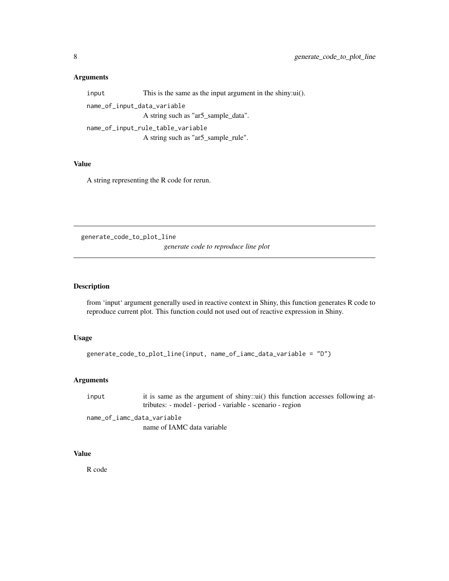#### <span id="page-7-0"></span>Arguments

input This is the same as the input argument in the shiny:ui(). name\_of\_input\_data\_variable A string such as "ar5\_sample\_data". name\_of\_input\_rule\_table\_variable A string such as "ar5\_sample\_rule".

#### Value

A string representing the R code for rerun.

generate\_code\_to\_plot\_line

*generate code to reproduce line plot*

# Description

from 'input' argument generally used in reactive context in Shiny, this function generates R code to reproduce current plot. This function could not used out of reactive expression in Shiny.

### Usage

```
generate_code_to_plot_line(input, name_of_iamc_data_variable = "D")
```
# Arguments

input it is same as the argument of shiny::ui() this function accesses following attributes: - model - period - variable - scenario - region

name\_of\_iamc\_data\_variable name of IAMC data variable

# Value

R code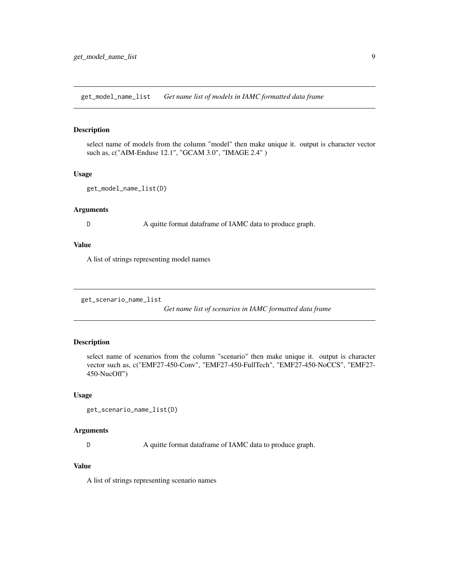<span id="page-8-0"></span>get\_model\_name\_list *Get name list of models in IAMC formatted data frame*

# Description

select name of models from the column "model" then make unique it. output is character vector such as, c("AIM-Enduse 12.1", "GCAM 3.0", "IMAGE 2.4" )

#### Usage

```
get_model_name_list(D)
```
# Arguments

D A quitte format dataframe of IAMC data to produce graph.

# Value

A list of strings representing model names

get\_scenario\_name\_list

*Get name list of scenarios in IAMC formatted data frame*

#### Description

select name of scenarios from the column "scenario" then make unique it. output is character vector such as, c("EMF27-450-Conv", "EMF27-450-FullTech", "EMF27-450-NoCCS", "EMF27- 450-NucOff")

# Usage

```
get_scenario_name_list(D)
```
#### Arguments

D A quitte format dataframe of IAMC data to produce graph.

# Value

A list of strings representing scenario names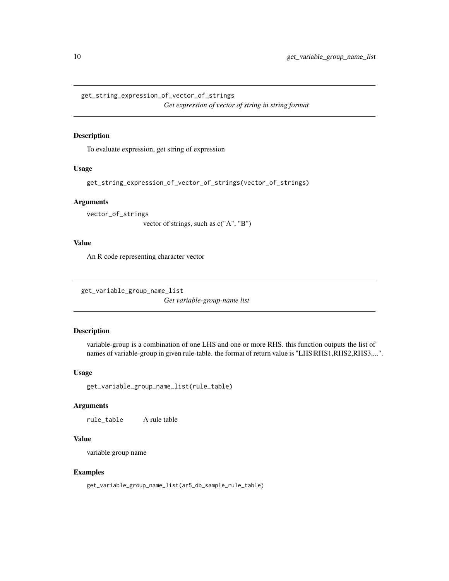<span id="page-9-0"></span>get\_string\_expression\_of\_vector\_of\_strings *Get expression of vector of string in string format*

#### Description

To evaluate expression, get string of expression

# Usage

```
get_string_expression_of_vector_of_strings(vector_of_strings)
```
# Arguments

vector\_of\_strings

vector of strings, such as c("A", "B")

### Value

An R code representing character vector

get\_variable\_group\_name\_list

*Get variable-group-name list*

# Description

variable-group is a combination of one LHS and one or more RHS. this function outputs the list of names of variable-group in given rule-table. the format of return value is "LHS|RHS1,RHS2,RHS3,...".

#### Usage

get\_variable\_group\_name\_list(rule\_table)

# Arguments

rule\_table A rule table

# Value

variable group name

# Examples

get\_variable\_group\_name\_list(ar5\_db\_sample\_rule\_table)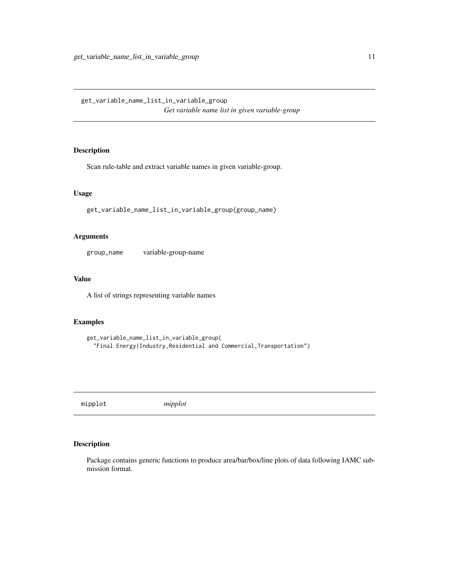<span id="page-10-0"></span>get\_variable\_name\_list\_in\_variable\_group *Get variable name list in given variable-group*

# Description

Scan rule-table and extract variable names in given variable-group.

# Usage

get\_variable\_name\_list\_in\_variable\_group(group\_name)

#### Arguments

group\_name variable-group-name

### Value

A list of strings representing variable names

# Examples

```
get_variable_name_list_in_variable_group(
  "Final Energy|Industry,Residential and Commercial,Transportation")
```
mipplot *mipplot*

# Description

Package contains generic functions to produce area/bar/box/line plots of data following IAMC submission format.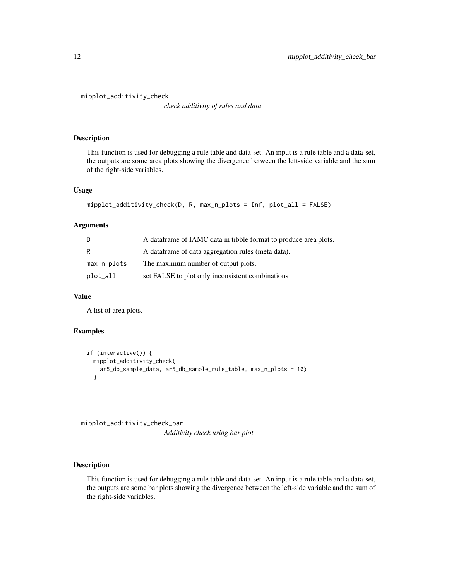<span id="page-11-0"></span>mipplot\_additivity\_check

*check additivity of rules and data*

# Description

This function is used for debugging a rule table and data-set. An input is a rule table and a data-set, the outputs are some area plots showing the divergence between the left-side variable and the sum of the right-side variables.

# Usage

```
mipplot_additivity_check(D, R, max_n_plots = Inf, plot_all = FALSE)
```
# Arguments

| D           | A data frame of IAMC data in tibble format to produce area plots. |
|-------------|-------------------------------------------------------------------|
| R           | A data frame of data aggregation rules (meta data).               |
| max_n_plots | The maximum number of output plots.                               |
| plot_all    | set FALSE to plot only inconsistent combinations                  |

#### Value

A list of area plots.

# Examples

```
if (interactive()) {
 mipplot_additivity_check(
   ar5_db_sample_data, ar5_db_sample_rule_table, max_n_plots = 10)
 }
```
mipplot\_additivity\_check\_bar *Additivity check using bar plot*

# Description

This function is used for debugging a rule table and data-set. An input is a rule table and a data-set, the outputs are some bar plots showing the divergence between the left-side variable and the sum of the right-side variables.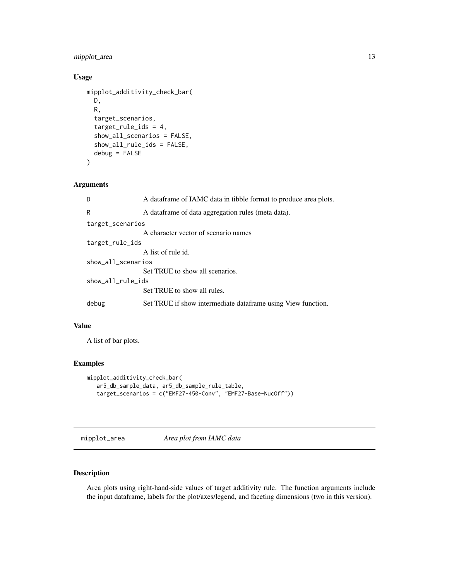# <span id="page-12-0"></span>mipplot\_area 13

# Usage

```
mipplot_additivity_check_bar(
 D,
 R,
  target_scenarios,
  target_rule_ids = 4,
  show_all_scenarios = FALSE,
  show_all_rule_ids = FALSE,
  debug = FALSE
)
```
# Arguments

| D                  | A data frame of IAMC data in tibble format to produce area plots. |
|--------------------|-------------------------------------------------------------------|
| R                  | A dataframe of data aggregation rules (meta data).                |
| target_scenarios   |                                                                   |
|                    | A character vector of scenario names                              |
| target_rule_ids    |                                                                   |
|                    | A list of rule id.                                                |
| show all scenarios |                                                                   |
|                    | Set TRUE to show all scenarios.                                   |
| show_all_rule_ids  |                                                                   |
|                    | Set TRUE to show all rules.                                       |
| debug              | Set TRUE if show intermediate dataframe using View function.      |

# Value

A list of bar plots.

# Examples

```
mipplot_additivity_check_bar(
   ar5_db_sample_data, ar5_db_sample_rule_table,
   target_scenarios = c("EMF27-450-Conv", "EMF27-Base-NucOff"))
```
mipplot\_area *Area plot from IAMC data*

# Description

Area plots using right-hand-side values of target additivity rule. The function arguments include the input dataframe, labels for the plot/axes/legend, and faceting dimensions (two in this version).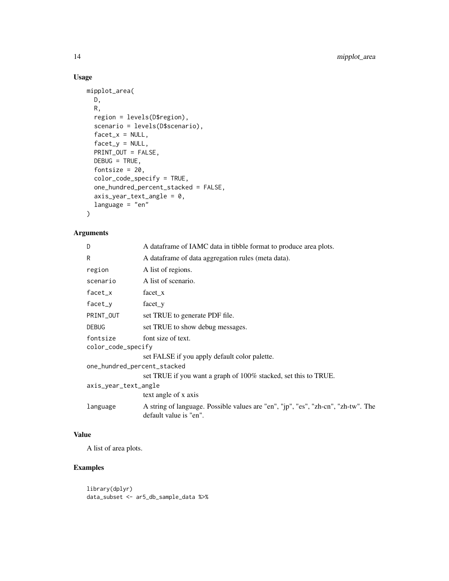# Usage

```
mipplot_area(
 D,
 R,
 region = levels(D$region),
 scenario = levels(D$scenario),
 facet_x = NULL,factor_y = NULL,PRINT_OUT = FALSE,
 DEBUG = TRUE,
 fontsize = 20,
 color_code_specify = TRUE,
 one_hundred_percent_stacked = FALSE,
 axis_year_text_angle = 0,
 language = "en"
)
```
# Arguments

| D                              | A dataframe of IAMC data in tibble format to produce area plots.                                            |  |
|--------------------------------|-------------------------------------------------------------------------------------------------------------|--|
| R                              | A dataframe of data aggregation rules (meta data).                                                          |  |
| region                         | A list of regions.                                                                                          |  |
| scenario                       | A list of scenario.                                                                                         |  |
| $facet_x$                      | facet x                                                                                                     |  |
| facet_y                        | facet y                                                                                                     |  |
| PRINT_OUT                      | set TRUE to generate PDF file.                                                                              |  |
| <b>DEBUG</b>                   | set TRUE to show debug messages.                                                                            |  |
| fontsize<br>color_code_specify | font size of text.                                                                                          |  |
|                                | set FALSE if you apply default color palette.                                                               |  |
| one_hundred_percent_stacked    |                                                                                                             |  |
|                                | set TRUE if you want a graph of 100% stacked, set this to TRUE.                                             |  |
| axis_year_text_angle           |                                                                                                             |  |
|                                | text angle of x axis                                                                                        |  |
| language                       | A string of language. Possible values are "en", "jp", "es", "zh-cn", "zh-tw". The<br>default value is "en". |  |

# Value

A list of area plots.

# Examples

library(dplyr) data\_subset <- ar5\_db\_sample\_data %>%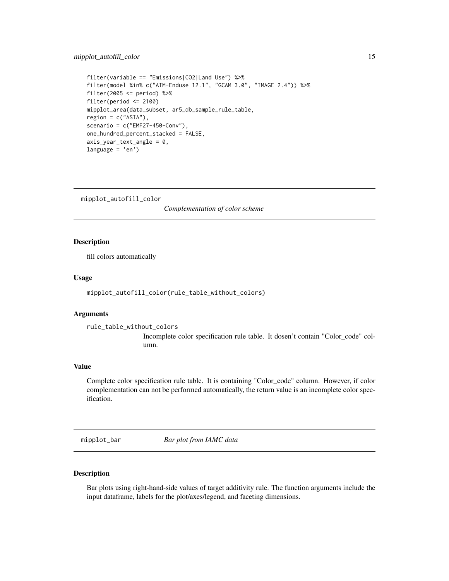# <span id="page-14-0"></span>mipplot\_autofill\_color 15

```
filter(variable == "Emissions|CO2|Land Use") %>%
filter(model %in% c("AIM-Enduse 12.1", "GCAM 3.0", "IMAGE 2.4")) %>%
filter(2005 \le period) %>%
filter(period <= 2100)
mipplot_area(data_subset, ar5_db_sample_rule_table,
region = c("ASIA"),
scenario = c("EMF27-450-Conv"),
one_hundred_percent_stacked = FALSE,
axis\_year\_text\_angle = 0,
language = 'en')
```
mipplot\_autofill\_color

*Complementation of color scheme*

# **Description**

fill colors automatically

#### Usage

mipplot\_autofill\_color(rule\_table\_without\_colors)

# Arguments

```
rule_table_without_colors
```
Incomplete color specification rule table. It dosen't contain "Color\_code" column.

# Value

Complete color specification rule table. It is containing "Color\_code" column. However, if color complementation can not be performed automatically, the return value is an incomplete color specification.

mipplot\_bar *Bar plot from IAMC data*

#### Description

Bar plots using right-hand-side values of target additivity rule. The function arguments include the input dataframe, labels for the plot/axes/legend, and faceting dimensions.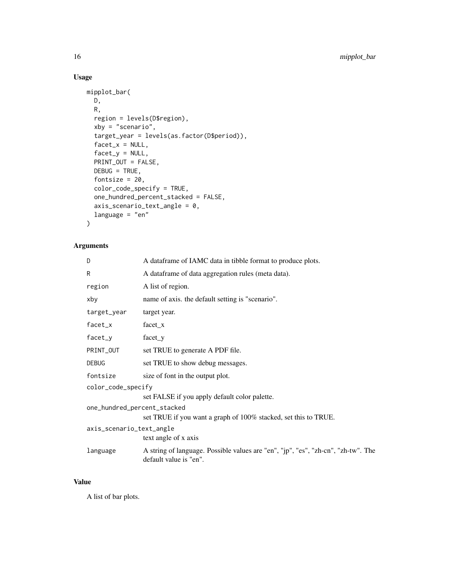# Usage

```
mipplot_bar(
 D,
 R,
  region = levels(D$region),
 xby = "scenario",target_year = levels(as.factor(D$period)),
  factor_x = NULL,factor_y = NULL,PRINT_OUT = FALSE,
 DEBUG = TRUE,
 fontsize = 20,
 color_code_specify = TRUE,
  one_hundred_percent_stacked = FALSE,
  axis_scenario_text_angle = 0,
 language = "en"\mathcal{L}
```
# Arguments

| D                           | A dataframe of IAMC data in tibble format to produce plots.                                                 |
|-----------------------------|-------------------------------------------------------------------------------------------------------------|
| R                           | A dataframe of data aggregation rules (meta data).                                                          |
| region                      | A list of region.                                                                                           |
| xby                         | name of axis. the default setting is "scenario".                                                            |
| target_year                 | target year.                                                                                                |
| facet_x                     | facet x                                                                                                     |
| facet_y                     | $facet_y$                                                                                                   |
| PRINT_OUT                   | set TRUE to generate A PDF file.                                                                            |
| DEBUG                       | set TRUE to show debug messages.                                                                            |
| fontsize                    | size of font in the output plot.                                                                            |
| color_code_specify          |                                                                                                             |
|                             | set FALSE if you apply default color palette.                                                               |
| one_hundred_percent_stacked |                                                                                                             |
|                             | set TRUE if you want a graph of 100% stacked, set this to TRUE.                                             |
| axis_scenario_text_angle    |                                                                                                             |
|                             | text angle of x axis                                                                                        |
| language                    | A string of language. Possible values are "en", "jp", "es", "zh-cn", "zh-tw". The<br>default value is "en". |

# Value

A list of bar plots.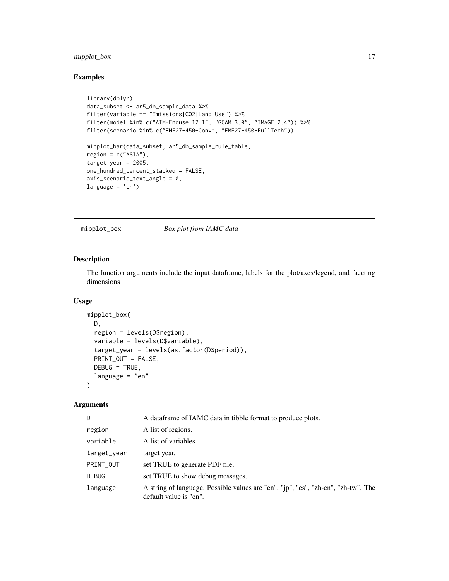# <span id="page-16-0"></span>mipplot\_box 17

# Examples

```
library(dplyr)
data_subset <- ar5_db_sample_data %>%
filter(variable == "Emissions|CO2|Land Use") %>%
filter(model %in% c("AIM-Enduse 12.1", "GCAM 3.0", "IMAGE 2.4")) %>%
filter(scenario %in% c("EMF27-450-Conv", "EMF27-450-FullTech"))
mipplot_bar(data_subset, ar5_db_sample_rule_table,
region = c("ASIA"),target\_year = 2005,one_hundred_percent_stacked = FALSE,
axis_scenario_text_angle = 0,
language = 'en')
```
mipplot\_box *Box plot from IAMC data*

# Description

The function arguments include the input dataframe, labels for the plot/axes/legend, and faceting dimensions

#### Usage

```
mipplot_box(
 D,
  region = levels(D$region),
  variable = levels(D$variable),
  target_year = levels(as.factor(D$period)),
 PRINT_OUT = FALSE,
 DEBUG = TRUE,
  language = "en"
)
```
#### Arguments

| D.           | A data frame of IAMC data in tibble format to produce plots.                                                |
|--------------|-------------------------------------------------------------------------------------------------------------|
| region       | A list of regions.                                                                                          |
| variable     | A list of variables.                                                                                        |
| target_year  | target year.                                                                                                |
| PRINT_OUT    | set TRUE to generate PDF file.                                                                              |
| <b>DEBUG</b> | set TRUE to show debug messages.                                                                            |
| language     | A string of language. Possible values are "en", "jp", "es", "zh-cn", "zh-tw". The<br>default value is "en". |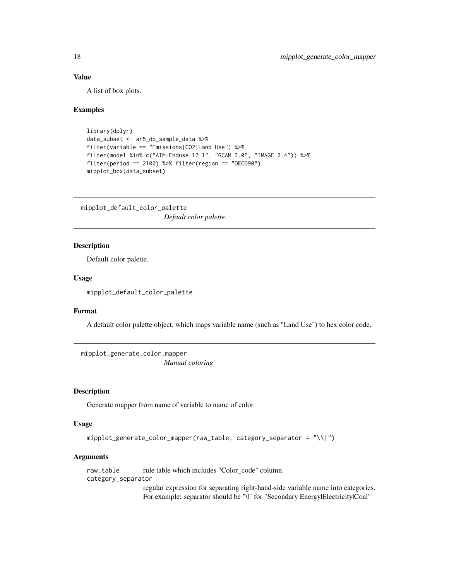# Value

A list of box plots.

#### Examples

```
library(dplyr)
data_subset <- ar5_db_sample_data %>%
filter(variable == "Emissions|CO2|Land Use") %>%
filter(model %in% c("AIM-Enduse 12.1", "GCAM 3.0", "IMAGE 2.4")) %>%
filter(period == 2100) %>% filter(region == "OECD90")
mipplot_box(data_subset)
```
mipplot\_default\_color\_palette *Default color palette.*

# **Description**

Default color palette.

#### Usage

mipplot\_default\_color\_palette

### Format

A default color palette object, which maps variable name (such as "Land Use") to hex color code.

mipplot\_generate\_color\_mapper *Manual coloring*

# Description

Generate mapper from name of variable to name of color

# Usage

```
mipplot_generate_color_mapper(raw_table, category_separator = "\\|")
```
#### Arguments

```
raw_table rule table which includes "Color_code" column.
category_separator
                  regular expression for separating right-hand-side variable name into categories.
                  For example: separator should be "\|" for "Secondary Energy|Electricity|Coal"
```
<span id="page-17-0"></span>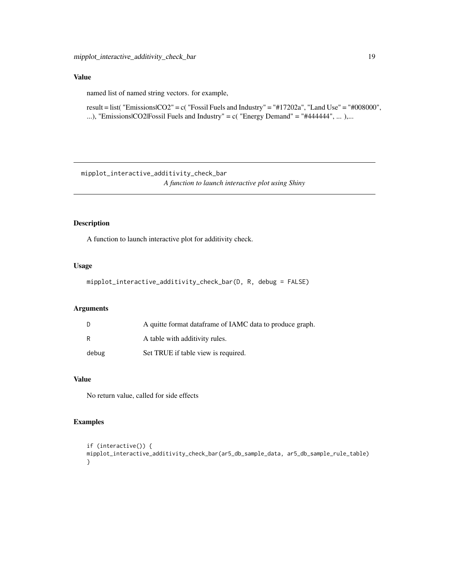# <span id="page-18-0"></span>Value

named list of named string vectors. for example,

result = list( "Emissions|CO2" = c( "Fossil Fuels and Industry" = "#17202a", "Land Use" = "#008000", ...), "Emissions|CO2|Fossil Fuels and Industry" =  $c$ ( "Energy Demand" = "#444444", ... ),...

mipplot\_interactive\_additivity\_check\_bar *A function to launch interactive plot using Shiny*

# Description

A function to launch interactive plot for additivity check.

# Usage

mipplot\_interactive\_additivity\_check\_bar(D, R, debug = FALSE)

# Arguments

|       | A quitte format dataframe of IAMC data to produce graph. |
|-------|----------------------------------------------------------|
| R     | A table with additivity rules.                           |
| debug | Set TRUE if table view is required.                      |

# Value

No return value, called for side effects

#### Examples

```
if (interactive()) {
mipplot_interactive_additivity_check_bar(ar5_db_sample_data, ar5_db_sample_rule_table)
}
```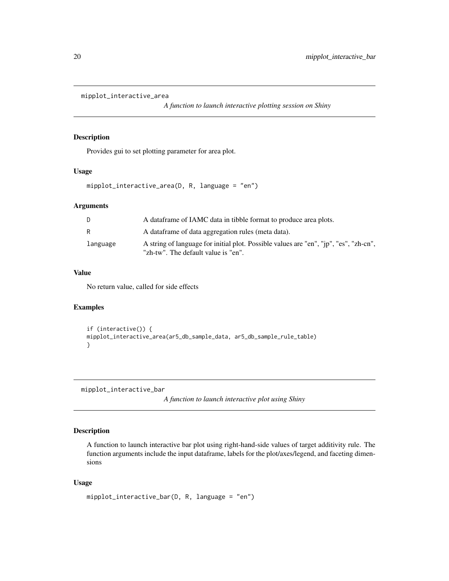```
mipplot_interactive_area
```
*A function to launch interactive plotting session on Shiny*

# Description

Provides gui to set plotting parameter for area plot.

#### Usage

```
mipplot_interactive_area(D, R, language = "en")
```
# Arguments

| D.       | A data frame of IAMC data in tibble format to produce area plots.                                                            |
|----------|------------------------------------------------------------------------------------------------------------------------------|
| R        | A data frame of data aggregation rules (meta data).                                                                          |
| language | A string of language for initial plot. Possible values are "en", "jp", "es", "zh-cn",<br>"zh-tw". The default value is "en". |

#### Value

No return value, called for side effects

# Examples

```
if (interactive()) {
mipplot_interactive_area(ar5_db_sample_data, ar5_db_sample_rule_table)
}
```
mipplot\_interactive\_bar

*A function to launch interactive plot using Shiny*

# Description

A function to launch interactive bar plot using right-hand-side values of target additivity rule. The function arguments include the input dataframe, labels for the plot/axes/legend, and faceting dimensions

#### Usage

```
mipplot_interactive_bar(D, R, language = "en")
```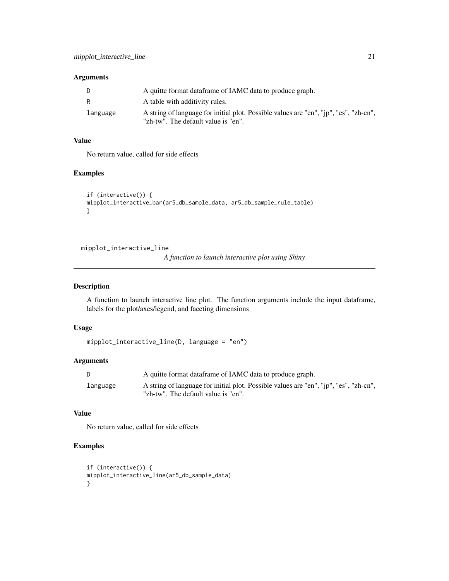# <span id="page-20-0"></span>Arguments

|          | A quitte format dataframe of IAMC data to produce graph.                                                                     |
|----------|------------------------------------------------------------------------------------------------------------------------------|
| R        | A table with additivity rules.                                                                                               |
| language | A string of language for initial plot. Possible values are "en", "jp", "es", "zh-cn",<br>"zh-tw". The default value is "en". |

# Value

No return value, called for side effects

# Examples

```
if (interactive()) {
mipplot_interactive_bar(ar5_db_sample_data, ar5_db_sample_rule_table)
}
```
mipplot\_interactive\_line

*A function to launch interactive plot using Shiny*

# Description

A function to launch interactive line plot. The function arguments include the input dataframe, labels for the plot/axes/legend, and faceting dimensions

# Usage

```
mipplot_interactive_line(D, language = "en")
```
# Arguments

| D.       | A quitte format dataframe of IAMC data to produce graph.                                                                     |
|----------|------------------------------------------------------------------------------------------------------------------------------|
| language | A string of language for initial plot. Possible values are "en", "jp", "es", "zh-cn",<br>"zh-tw". The default value is "en". |

# Value

No return value, called for side effects

# Examples

```
if (interactive()) {
mipplot_interactive_line(ar5_db_sample_data)
}
```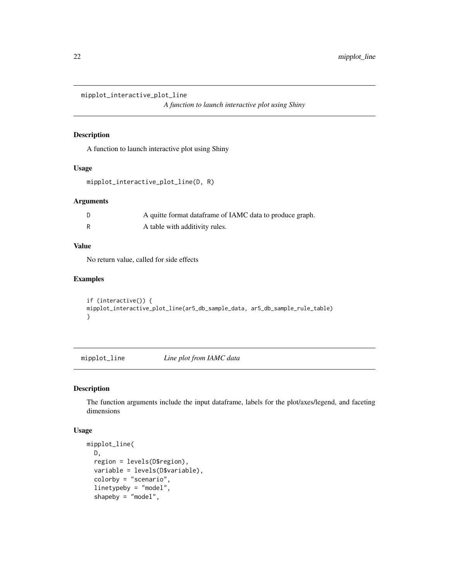<span id="page-21-0"></span>mipplot\_interactive\_plot\_line

*A function to launch interactive plot using Shiny*

# Description

A function to launch interactive plot using Shiny

#### Usage

```
mipplot_interactive_plot_line(D, R)
```
# Arguments

| A quitte format dataframe of IAMC data to produce graph. |
|----------------------------------------------------------|
| A table with additivity rules.                           |

# Value

No return value, called for side effects

# Examples

```
if (interactive()) {
mipplot_interactive_plot_line(ar5_db_sample_data, ar5_db_sample_rule_table)
}
```
mipplot\_line *Line plot from IAMC data*

# Description

The function arguments include the input dataframe, labels for the plot/axes/legend, and faceting dimensions

#### Usage

```
mipplot_line(
 D,
  region = levels(D$region),
  variable = levels(D$variable),
  colorby = "scenario",
  linetypeby = "model",
  shapeby = "model",
```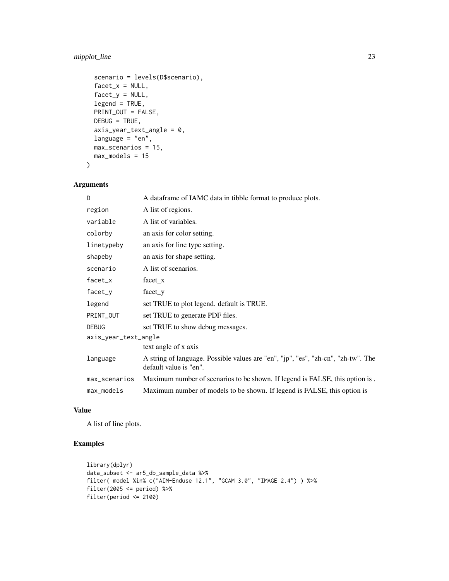# mipplot\_line 23

```
scenario = levels(D$scenario),
  facet_x = NULL,factor_y = NULL,legend = TRUE,
 PRINT_OUT = FALSE,
 DEBUG = TRUE,
  axis_year_text_angle = 0,
 language = "en",max_scenarios = 15,
 max_models = 15
\mathcal{L}
```
# Arguments

| D                    | A dataframe of IAMC data in tibble format to produce plots.                                                 |
|----------------------|-------------------------------------------------------------------------------------------------------------|
| region               | A list of regions.                                                                                          |
| variable             | A list of variables.                                                                                        |
| colorby              | an axis for color setting.                                                                                  |
| linetypeby           | an axis for line type setting.                                                                              |
| shapeby              | an axis for shape setting.                                                                                  |
| scenario             | A list of scenarios.                                                                                        |
| facet_x              | facet x                                                                                                     |
| facet_y              | $facet_y$                                                                                                   |
| legend               | set TRUE to plot legend. default is TRUE.                                                                   |
| PRINT_OUT            | set TRUE to generate PDF files.                                                                             |
| <b>DEBUG</b>         | set TRUE to show debug messages.                                                                            |
| axis_year_text_angle |                                                                                                             |
|                      | text angle of x axis                                                                                        |
| language             | A string of language. Possible values are "en", "jp", "es", "zh-cn", "zh-tw". The<br>default value is "en". |
| max_scenarios        | Maximum number of scenarios to be shown. If legend is FALSE, this option is.                                |
| max_models           | Maximum number of models to be shown. If legend is FALSE, this option is                                    |

# Value

A list of line plots.

# Examples

```
library(dplyr)
data_subset <- ar5_db_sample_data %>%
filter( model %in% c("AIM-Enduse 12.1", "GCAM 3.0", "IMAGE 2.4") ) %>%
filter(2005 \le period) %>%
filter(period <= 2100)
```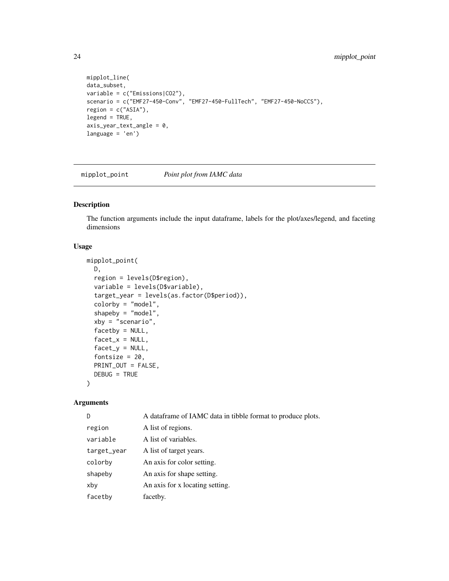```
mipplot_line(
data_subset,
variable = c("Emissions|CO2"),
scenario = c("EMF27-450-Conv", "EMF27-450-FullTech", "EMF27-450-NoCCS"),
region = c("ASIA"),legend = TRUE,
axis_year_text_angle = 0,
language = 'en')
```
mipplot\_point *Point plot from IAMC data*

# Description

The function arguments include the input dataframe, labels for the plot/axes/legend, and faceting dimensions

# Usage

```
mipplot_point(
 D,
  region = levels(D$region),
  variable = levels(D$variable),
  target_year = levels(as.factor(D$period)),
  colorby = "model",
  shapeby = "model",
  xby = "scenario",
  facetby = NULL,
  facet_x = NULL,factor_y = NULL,fontsize = 20,
 PRINT_OUT = FALSE,
  DEBUG = TRUE
)
```
#### Arguments

| D           | A data frame of IAMC data in tibble format to produce plots. |
|-------------|--------------------------------------------------------------|
| region      | A list of regions.                                           |
| variable    | A list of variables.                                         |
| target_year | A list of target years.                                      |
| colorby     | An axis for color setting.                                   |
| shapeby     | An axis for shape setting.                                   |
| xby         | An axis for x locating setting.                              |
| facetby     | facetby.                                                     |

<span id="page-23-0"></span>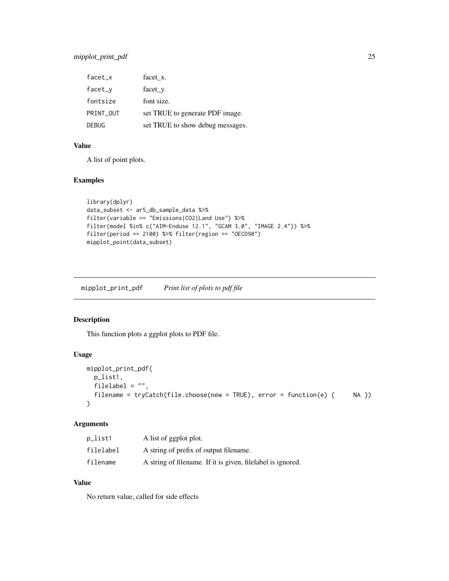# <span id="page-24-0"></span>mipplot\_print\_pdf 25

| $facet_x$    | facet x.                         |
|--------------|----------------------------------|
| $facet_v$    | facet_y.                         |
| fontsize     | font size.                       |
| PRINT OUT    | set TRUE to generate PDF image.  |
| <b>DEBUG</b> | set TRUE to show debug messages. |

# Value

A list of point plots.

#### Examples

```
library(dplyr)
data_subset <- ar5_db_sample_data %>%
filter(variable == "Emissions|CO2|Land Use") %>%
filter(model %in% c("AIM-Enduse 12.1", "GCAM 3.0", "IMAGE 2.4")) %>%
filter(period == 2100) %>% filter(region == "OECD90")
mipplot_point(data_subset)
```
mipplot\_print\_pdf *Print list of plots to pdf file*

# Description

This function plots a ggplot plots to PDF file.

#### Usage

```
mipplot_print_pdf(
 p_list1,
 filelabel = "",
 filename = tryCatch(file.choose(new = TRUE), error = function(e) { NA })
)
```
# Arguments

| p_list1   | A list of ggplot plot.                                      |
|-----------|-------------------------------------------------------------|
| filelabel | A string of prefix of output filename.                      |
| filename  | A string of filename. If it is given, filelabel is ignored. |

# Value

No return value, called for side effects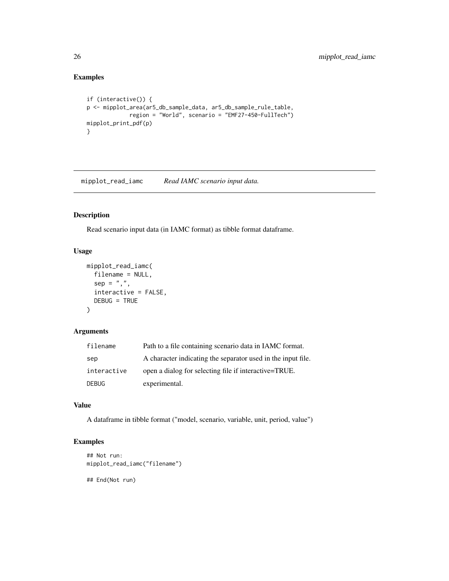# Examples

```
if (interactive()) {
p <- mipplot_area(ar5_db_sample_data, ar5_db_sample_rule_table,
             region = "World", scenario = "EMF27-450-FullTech")
mipplot_print_pdf(p)
}
```
mipplot\_read\_iamc *Read IAMC scenario input data.*

# Description

Read scenario input data (in IAMC format) as tibble format dataframe.

# Usage

```
mipplot_read_iamc(
 filename = NULL,
 sep = ","interactive = FALSE,
 DEBUG = TRUE
)
```
# Arguments

| filename     | Path to a file containing scenario data in IAMC format.      |
|--------------|--------------------------------------------------------------|
| sep          | A character indicating the separator used in the input file. |
| interactive  | open a dialog for selecting file if interactive=TRUE.        |
| <b>DEBUG</b> | experimental.                                                |

# Value

A dataframe in tibble format ("model, scenario, variable, unit, period, value")

# Examples

```
## Not run:
mipplot_read_iamc("filename")
## End(Not run)
```
<span id="page-25-0"></span>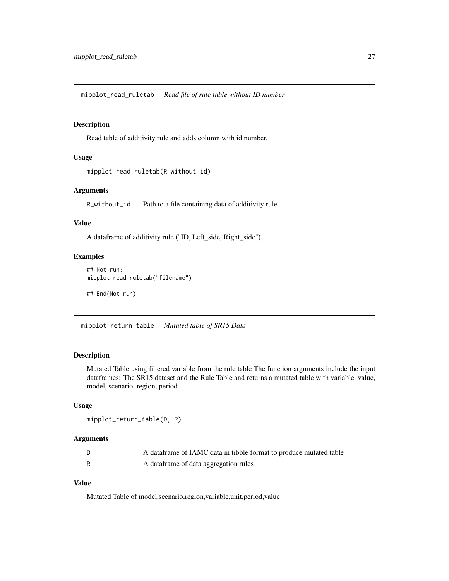<span id="page-26-0"></span>mipplot\_read\_ruletab *Read file of rule table without ID number*

# Description

Read table of additivity rule and adds column with id number.

# Usage

```
mipplot_read_ruletab(R_without_id)
```
# Arguments

R\_without\_id Path to a file containing data of additivity rule.

# Value

A dataframe of additivity rule ("ID, Left\_side, Right\_side")

#### Examples

## Not run: mipplot\_read\_ruletab("filename")

## End(Not run)

mipplot\_return\_table *Mutated table of SR15 Data*

# Description

Mutated Table using filtered variable from the rule table The function arguments include the input dataframes: The SR15 dataset and the Rule Table and returns a mutated table with variable, value, model, scenario, region, period

#### Usage

```
mipplot_return_table(D, R)
```
#### Arguments

| A dataframe of IAMC data in tibble format to produce mutated table |
|--------------------------------------------------------------------|
| A dataframe of data aggregation rules                              |

# Value

Mutated Table of model,scenario,region,variable,unit,period,value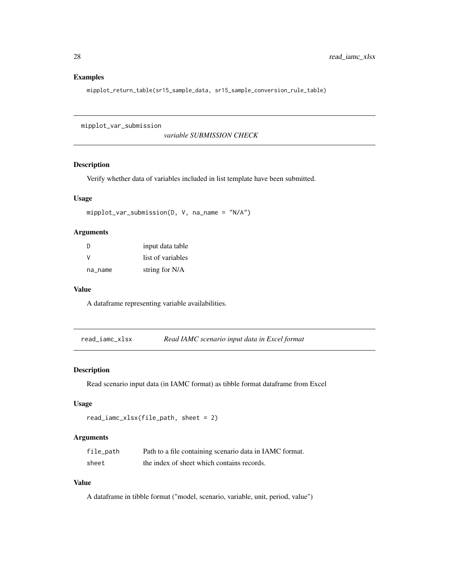# Examples

mipplot\_return\_table(sr15\_sample\_data, sr15\_sample\_conversion\_rule\_table)

mipplot\_var\_submission

*variable SUBMISSION CHECK*

# Description

Verify whether data of variables included in list template have been submitted.

#### Usage

```
mipplot_var_submission(D, V, na_name = "N/A")
```
#### Arguments

| <sup>D</sup> | input data table  |
|--------------|-------------------|
| v            | list of variables |
| na_name      | string for N/A    |

#### Value

A dataframe representing variable availabilities.

read\_iamc\_xlsx *Read IAMC scenario input data in Excel format*

#### Description

Read scenario input data (in IAMC format) as tibble format dataframe from Excel

# Usage

```
read_iamc_xlsx(file_path, sheet = 2)
```
#### Arguments

| file_path | Path to a file containing scenario data in IAMC format. |
|-----------|---------------------------------------------------------|
| sheet     | the index of sheet which contains records.              |

# Value

A dataframe in tibble format ("model, scenario, variable, unit, period, value")

<span id="page-27-0"></span>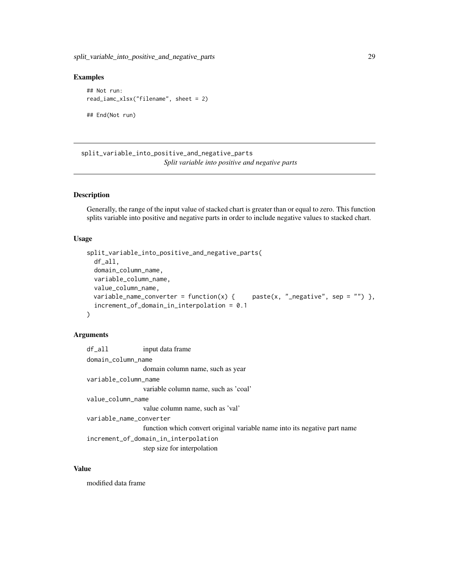# <span id="page-28-0"></span>Examples

```
## Not run:
read_iamc_xlsx("filename", sheet = 2)
## End(Not run)
```
split\_variable\_into\_positive\_and\_negative\_parts *Split variable into positive and negative parts*

# Description

Generally, the range of the input value of stacked chart is greater than or equal to zero. This function splits variable into positive and negative parts in order to include negative values to stacked chart.

# Usage

```
split_variable_into_positive_and_negative_parts(
  df_all,
  domain_column_name,
  variable_column_name,
  value_column_name,
 variable_name_converter = function(x) {    paste(x, "_negative", sep = "") },
  increment_of_domain_in_interpolation = 0.1
\mathcal{L}
```
# Arguments

| df_all                               | input data frame                                                          |
|--------------------------------------|---------------------------------------------------------------------------|
| domain_column_name                   |                                                                           |
|                                      | domain column name, such as year                                          |
| variable_column_name                 |                                                                           |
|                                      | variable column name, such as 'coal'                                      |
| value_column_name                    |                                                                           |
|                                      | value column name, such as 'val'                                          |
| variable_name_converter              |                                                                           |
|                                      | function which convert original variable name into its negative part name |
| increment_of_domain_in_interpolation |                                                                           |
|                                      | step size for interpolation                                               |
|                                      |                                                                           |

# Value

modified data frame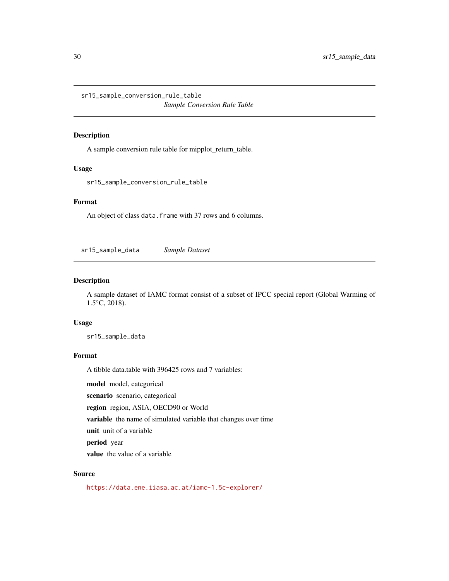<span id="page-29-0"></span>sr15\_sample\_conversion\_rule\_table *Sample Conversion Rule Table*

#### Description

A sample conversion rule table for mipplot\_return\_table.

# Usage

sr15\_sample\_conversion\_rule\_table

# Format

An object of class data. frame with 37 rows and 6 columns.

sr15\_sample\_data *Sample Dataset*

#### Description

A sample dataset of IAMC format consist of a subset of IPCC special report (Global Warming of 1.5°C, 2018).

#### Usage

sr15\_sample\_data

# Format

A tibble data.table with 396425 rows and 7 variables:

model model, categorical

scenario scenario, categorical

region region, ASIA, OECD90 or World

variable the name of simulated variable that changes over time

unit unit of a variable

period year

value the value of a variable

#### Source

<https://data.ene.iiasa.ac.at/iamc-1.5c-explorer/>